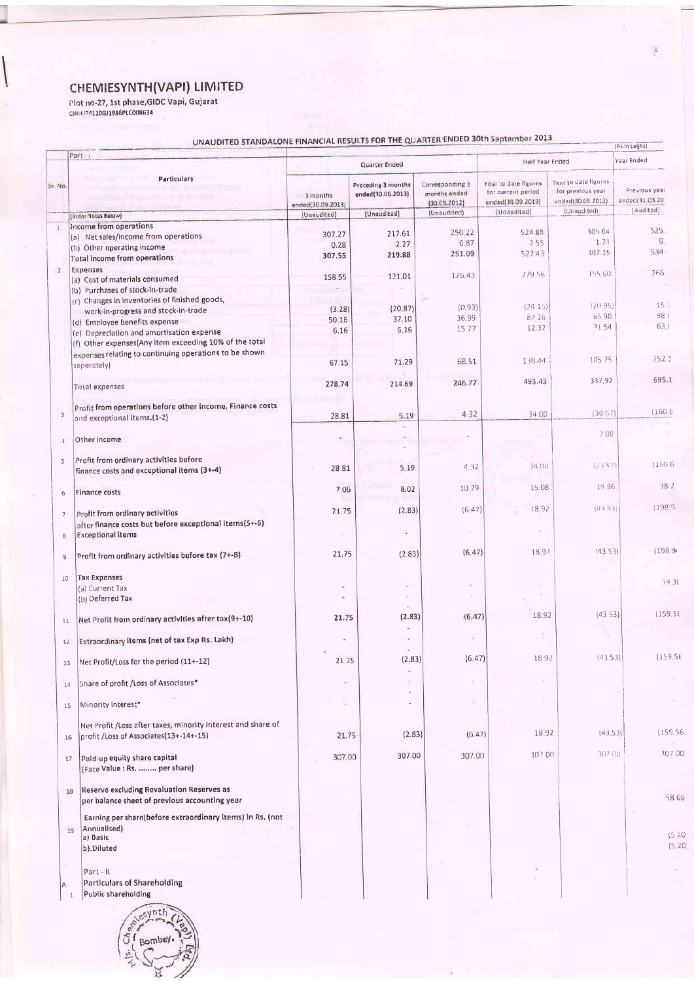CHEMIESYNTH (VAPI) LIMITED<br>Plot no-27, 1st phase, GIDC Vapi, Gujarat<br>CIN:1/241106J1986PLC008634

ļ

## FOR THE QUARTER ENDED 30th September 2013

|               |                          | UNAUDITED STANDALONE FINANCIAL RESOLTS FOR THE COMMERCIAL    |                               |                                         |                                                 |                                                                 |                                                                | (Rs.in Lakhs)                    |  |
|---------------|--------------------------|--------------------------------------------------------------|-------------------------------|-----------------------------------------|-------------------------------------------------|-----------------------------------------------------------------|----------------------------------------------------------------|----------------------------------|--|
|               |                          | Part-1                                                       | Quarter Ended                 |                                         |                                                 | Half Year Ended                                                 |                                                                | Year Ended                       |  |
| Sr. No.       |                          | <b>Particulars</b>                                           | 3 months<br>ended(30.09.2013) | Preceding 3 months<br>ended(30.06.2013) | Corresponding 3<br>months ended<br>(30.09.2012) | Year to date figures<br>for current period<br>ended(30.09.2013) | Year to date figures<br>for previous year<br>ended(30.09.2012) | Previous year<br>ended(31.03.20) |  |
|               |                          | (Refer Notes Below)                                          | (Unaudited)                   | (Unaudited)                             | (Unaudited)                                     | (Unaudited)                                                     | (Unaudited)                                                    | (Audited)                        |  |
| Œ.            |                          | Income from operations                                       |                               |                                         |                                                 |                                                                 |                                                                |                                  |  |
|               |                          | (a) Net sales/income from operations                         | 307.27                        | 217.61                                  | 250.22                                          | 524.88                                                          | 305.64                                                         | 525.                             |  |
|               |                          | (b) Other operating income                                   | 0.28                          | 2.27                                    | 0.87                                            | 2.55                                                            | 1.71                                                           | 9.                               |  |
|               |                          | Total income from operations                                 | 307.55                        | 219.88                                  | 251.09                                          | 527.43                                                          | 307.35                                                         | 534.                             |  |
|               |                          | Expenses                                                     |                               |                                         |                                                 |                                                                 |                                                                |                                  |  |
| $\mathbf{2}$  |                          | (a) Cost of materials consumed                               | 158.55                        | 121.01                                  | 126.43                                          | 279.56                                                          | 155.60                                                         | 266                              |  |
|               |                          | (b) Purchases of stock-in-trade                              |                               |                                         |                                                 |                                                                 |                                                                |                                  |  |
|               |                          | (c) Changes in inventories of finished goods,                |                               |                                         |                                                 |                                                                 |                                                                |                                  |  |
|               |                          | work-in-progress and stock-in-trade                          | (3.28)                        | (20.87)                                 | (0.93)                                          | (24.15)                                                         | (20.95)                                                        | 15.                              |  |
|               |                          |                                                              | 50.16                         | 37.10                                   | 36.99                                           | 8726                                                            | 65.98                                                          | 98(                              |  |
|               |                          | (d) Employee benefits expense                                | 6.16                          | 6.16                                    | 15.77                                           | 12.32                                                           | 31.54                                                          | 63.0                             |  |
|               |                          | (e) Depreciation and amortisation expense                    |                               |                                         |                                                 |                                                                 |                                                                |                                  |  |
|               |                          | (f) Other expenses(Any item exceeding 10% of the total       |                               |                                         |                                                 |                                                                 |                                                                |                                  |  |
|               |                          | expenses relating to continuing operations to be shown       | 67.15                         | 71.29                                   | 68.51                                           | 138.44                                                          | 10575                                                          | 252.1                            |  |
|               |                          | seperately)                                                  |                               |                                         |                                                 |                                                                 |                                                                |                                  |  |
|               |                          |                                                              |                               | 214.69                                  | 246.77                                          | 493.43                                                          | 337.92                                                         | 695.1                            |  |
|               |                          | <b>Total expenses</b>                                        | 278.74                        |                                         |                                                 |                                                                 |                                                                |                                  |  |
|               |                          |                                                              |                               |                                         |                                                 |                                                                 |                                                                |                                  |  |
| 3             |                          | Profit from operations before other income, Finance costs    |                               | 5.19                                    | 4.32                                            | 34.00                                                           | (30.57)                                                        | (160, 6)                         |  |
|               |                          | and exceptional items.(1-2)                                  | 28.81                         |                                         |                                                 |                                                                 |                                                                |                                  |  |
|               |                          |                                                              |                               |                                         |                                                 |                                                                 | 7.00                                                           |                                  |  |
| $\frac{4}{3}$ |                          | Other income                                                 |                               |                                         |                                                 |                                                                 |                                                                |                                  |  |
|               |                          |                                                              |                               |                                         |                                                 |                                                                 |                                                                |                                  |  |
| 5             |                          | Profit from ordinary activities before                       | 28.81                         | 5.19                                    | 4.32                                            | 34 OU                                                           | (2157)                                                         | (1606)                           |  |
|               |                          | finance costs and exceptional items (3+-4)                   |                               |                                         |                                                 |                                                                 |                                                                |                                  |  |
|               |                          |                                                              | 7.06                          | 8.02                                    | 10.79                                           | 15 08                                                           | 19.96                                                          | 38 2                             |  |
|               | 6                        | <b>Finance costs</b>                                         |                               |                                         |                                                 |                                                                 |                                                                |                                  |  |
|               |                          |                                                              |                               | (2.83)                                  | (6.47)                                          | 18.92                                                           | (43.53)                                                        | (1989)                           |  |
|               | $\overline{\phantom{a}}$ | Profit from ordinary activities                              | 21.75                         |                                         |                                                 |                                                                 |                                                                |                                  |  |
|               |                          | after finance costs but before exceptional items(5+-6)       |                               |                                         |                                                 |                                                                 |                                                                |                                  |  |
|               | B                        | <b>Exceptional items</b>                                     |                               |                                         |                                                 |                                                                 |                                                                |                                  |  |
|               |                          |                                                              |                               |                                         | (6.47)                                          | 18.92                                                           | (4353)                                                         | (198.9)                          |  |
|               | $\overline{9}$           | Profit from ordinary activities before tax (7+-8)            | 21.75                         | (2.83)                                  |                                                 |                                                                 |                                                                |                                  |  |
|               |                          |                                                              |                               |                                         |                                                 |                                                                 |                                                                |                                  |  |
|               | 10                       | <b>Tax Expenses</b>                                          |                               | ā                                       |                                                 |                                                                 |                                                                | 39.38                            |  |
|               |                          | (a) Current Tax                                              | ÷                             |                                         |                                                 |                                                                 |                                                                |                                  |  |
|               |                          | (b) Deferred Tax                                             |                               |                                         |                                                 |                                                                 |                                                                |                                  |  |
|               |                          |                                                              |                               |                                         | (6.47)                                          | 18.92                                                           | (4353)                                                         | (159.56)                         |  |
|               | 11                       | Net Profit from ordinary activities after tax (9+-10)        | 21.75                         | (2.83)                                  |                                                 |                                                                 |                                                                |                                  |  |
|               |                          |                                                              |                               |                                         |                                                 | B                                                               |                                                                |                                  |  |
|               | 12                       | Extraordinary Items (net of tax Exp Rs. Lakh)                |                               |                                         |                                                 |                                                                 |                                                                |                                  |  |
|               |                          |                                                              |                               |                                         | (6.47)                                          | 18.92                                                           | (43.53)                                                        | (159.56)                         |  |
|               |                          | 13   Net Profit/Loss for the period (11+-12)                 | 21.75                         | (2.83)                                  |                                                 |                                                                 |                                                                |                                  |  |
|               |                          |                                                              |                               |                                         |                                                 |                                                                 |                                                                |                                  |  |
|               | 14                       | Share of profit /Loss of Associates*                         |                               |                                         |                                                 |                                                                 |                                                                |                                  |  |
|               |                          |                                                              |                               |                                         |                                                 |                                                                 |                                                                |                                  |  |
|               | 15                       | Minority Interest*                                           |                               |                                         |                                                 |                                                                 |                                                                |                                  |  |
|               |                          |                                                              |                               |                                         |                                                 |                                                                 |                                                                |                                  |  |
|               |                          | Net Profit /Loss after taxes, minority interest and share of |                               |                                         |                                                 | 18.92                                                           | (43.53)                                                        | (159.56)                         |  |
|               | 16                       | profit /Loss of Associates(13+-14+-15)                       | 21.75                         | (2.83)                                  | (6.47)                                          |                                                                 |                                                                |                                  |  |
|               |                          |                                                              |                               |                                         |                                                 | 307.00                                                          | 307.00                                                         | 307.00                           |  |
|               | 17                       | Paid-up equity share capital                                 | 307.00                        | 307.00                                  | 307.00                                          |                                                                 |                                                                |                                  |  |
|               |                          | (Face Value : Rs.  per share)                                |                               |                                         |                                                 |                                                                 |                                                                |                                  |  |
|               |                          |                                                              |                               |                                         |                                                 |                                                                 |                                                                |                                  |  |
|               | 18                       | Reserve excluding Revaluation Reserves as                    |                               |                                         |                                                 |                                                                 |                                                                |                                  |  |
|               |                          | per balance sheet of previous accounting year                |                               |                                         |                                                 |                                                                 |                                                                | 58.66                            |  |
|               |                          | Earning per share(before extraordinary Items) in Rs. (not    |                               |                                         |                                                 |                                                                 |                                                                |                                  |  |
|               |                          |                                                              |                               |                                         |                                                 |                                                                 |                                                                |                                  |  |
|               | 19                       | Annualised)<br>a) Basic                                      |                               |                                         |                                                 |                                                                 |                                                                | (5.20)                           |  |
|               |                          | b).Diluted                                                   |                               |                                         |                                                 |                                                                 |                                                                | (5.20)                           |  |
|               |                          |                                                              |                               |                                         |                                                 |                                                                 |                                                                | ×.                               |  |
|               |                          | Part - II                                                    |                               |                                         |                                                 |                                                                 |                                                                |                                  |  |
|               |                          |                                                              |                               |                                         |                                                 |                                                                 |                                                                |                                  |  |
|               | A.                       | Particulars of Shareholding                                  |                               |                                         |                                                 |                                                                 |                                                                |                                  |  |
|               | -1                       | Public shareholding                                          |                               |                                         |                                                 |                                                                 |                                                                |                                  |  |

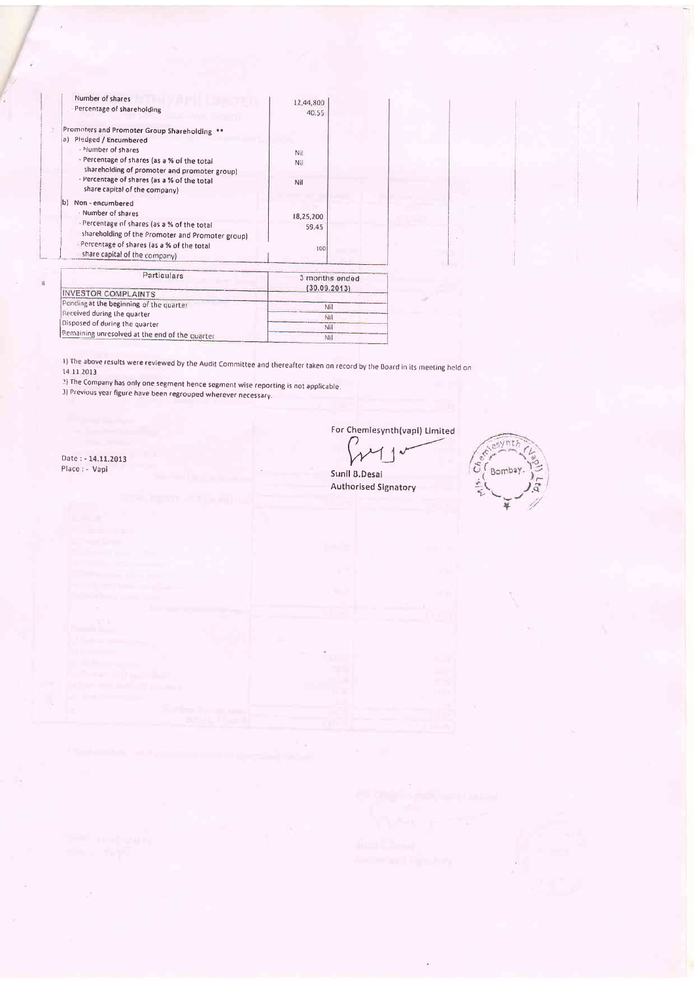| Number of shares<br>Percentage of shareholding                                                                                                                                                                                                                 | 12,44,800                      |
|----------------------------------------------------------------------------------------------------------------------------------------------------------------------------------------------------------------------------------------------------------------|--------------------------------|
| Promoters and Promoter Group Shareholding<br>a) Piedged / Encumbered<br>- Mumber of shares<br>- Percentage of shares (as a % of the total<br>shareholding of promoter and promoter group)<br>- Percentage of shares (as a % of the total                       | 40.55<br>Nil<br>Nil<br>Nil     |
| share capital of the company)<br>Ыì<br>Non - encumbered<br>- Number of shares<br>Percentage of shares (as a % of the total<br>shareholding of the Promoter and Promoter group)<br>- Percentage of shares (as a % of the total<br>share capital of the company) | 18,25,200<br>59.45<br>100      |
| Particulars<br><b>INVESTOR COMPLAINTS</b>                                                                                                                                                                                                                      | 3 months ended<br>(30.09.2013) |
| Pending at the beginning of the quarter                                                                                                                                                                                                                        | <b>NII</b>                     |

Received during the quarter Ňil Disposed of during the quarter  $NH$ Remaining unresolved at the end of the quarter Nil

1) The above results were reviewed by the Audit Committee and thereafter taken on record by the Board in its meeting held on 14.11 2013

?) The Company has only one segment hence segment wise reporting is not applicable.

3) Previous year figure have been regrouped wherever necessary.

For Chemiesynth(vapi) Limited

Sunil B.Desai **Authorised Signatory** 



Date: - 14.11.2013 Place : - Vapi